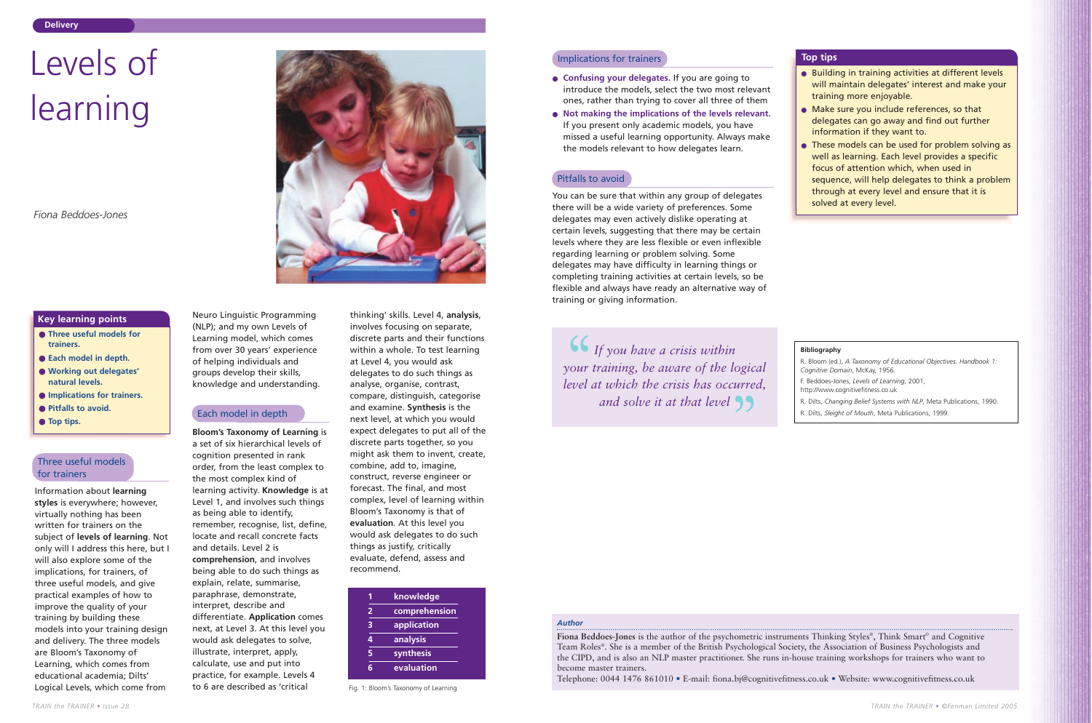Information about **learning styles** is everywhere; however, virtually nothing has been written for trainers on the subject of **levels of learning**. Not only will I address this here, but I will also explore some of the implications, for trainers, of three useful models, and give practical examples of how to improve the quality of your training by building these models into your training design and delivery. The three models are Bloom's Taxonomy of Learning, which comes from educational academia; Dilts' Logical Levels, which come from

Neuro Linguistic Programming (NLP); and my own Levels of Learning model, which comes from over 30 years' experience of helping individuals and groups develop their skills, knowledge and understanding.

thinking' skills. Level 4, **analysis**, involves focusing on separate, discrete parts and their functions within a whole. To test learning at Level 4, you would ask delegates to do such things as analyse, organise, contrast, compare, distinguish, categorise and examine. **Synthesis** is the next level, at which you would expect delegates to put all of the discrete parts together, so you might ask them to invent, create, combine, add to, imagine, construct, reverse engineer or forecast. The final, and most complex, level of learning within Bloom's Taxonomy is that of **evaluation**. At this level you would ask delegates to do such things as justify, critically evaluate, defend, assess and recommend. Each model in depth and examine. **Synthesis** is the contract of Mouth, Meta Publications, 1999.

**Bloom's Taxonomy of Learning** is a set of six hierarchical levels of cognition presented in rank order, from the least complex to the most complex kind of learning activity. **Knowledge** is at Level 1, and involves such things as being able to identify, remember, recognise, list, define, locate and recall concrete facts and details. Level 2 is **comprehension**, and involves being able to do such things as explain, relate, summarise, paraphrase, demonstrate, interpret, describe and differentiate. **Application** comes next, at Level 3. At this level you would ask delegates to solve, illustrate, interpret, apply, calculate, use and put into practice, for example. Levels 4 to 6 are described as 'critical

- **Three useful models for trainers.**
- **Each model in depth.**
- **Working out delegates' natural levels.**
- **Implications for trainers.**
- **Pitfalls to avoid.**
- **Top tips.**

● These models can be used for problem solving as well as learning. Each level provides a specific focus of attention which, when used in sequence, will help delegates to think a problem through at every level and ensure that it is

# **Key learning points**

# Levels of learning

*Fiona Beddoes-Jones*

# *Author*

**Fiona Beddoes-Jones** is the author of the psychometric instruments Thinking Styles®, Think Smart © and Cognitive Team Roles®. She is a member of the British Psychological Society, the Association of Business Psychologists and the CIPD, and is also an NLP master practitioner. She runs in-house training workshops for trainers who want to become master trainers.

Telephone: 0044 1476 861010 • E-mail: fiona.bj@cognitivefitness.co.uk • Website: www.cognitivefitness.co.uk

# Three useful models for trainers

- **Confusing your delegates.** If you are going to introduce the models, select the two most relevant ones, rather than trying to cover all three of them
- **Not making the implications of the levels relevant.** If you present only academic models, you have missed a useful learning opportunity. Always make the models relevant to how delegates learn.

You can be sure that within any group of delegates there will be a wide variety of preferences. Some delegates may even actively dislike operating at certain levels, suggesting that there may be certain levels where they are less flexible or even inflexible regarding learning or problem solving. Some delegates may have difficulty in learning things or completing training activities at certain levels, so be flexible and always have ready an alternative way of training or giving information.

**If** you have a crisis within<br>your training, be aware of the lot<br>level at which the crisis has occu *your training, be aware of the logical level at which the crisis has occurred,* and solve it at that level **33** 

### **Bibliography**

R. Bloom (ed.), *A Taxonomy of Educational Objectives. Handbook 1:*

F. Beddoes-Jones, *Levels of Learning*, 2001,

- *Cognitive Domain*, McKay, 1956.
- http://www.cognitivefitness.co.uk
	-
- 

R. Dilts, *Changing Belief Systems with NLP*, Meta Publications, 1990.

|   | knowledge     |
|---|---------------|
| 2 | comprehension |
| 3 | application   |
| 4 | analysis      |
| 5 | synthesis     |
| ี | evaluation    |

Fig. 1: Bloom's Taxonomy of Learning

## **Implications for trainers Top tips**

● Building in training activities at different levels will maintain delegates' interest and make your

● Make sure you include references, so that delegates can go away and find out further information if they want to.

- training more enjoyable.
	-
	- solved at every level.

# Pitfalls to avoid